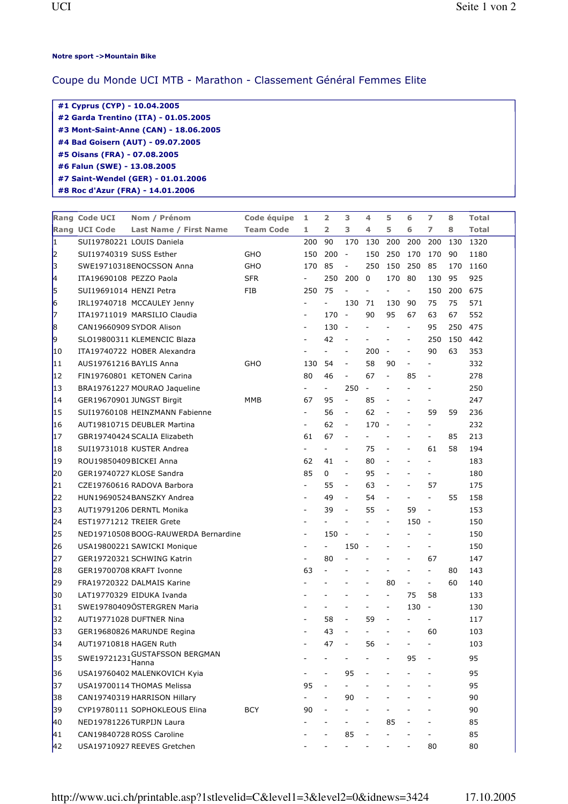## Notre sport ->Mountain Bike

## Coupe du Monde UCI MTB - Marathon - Classement Général Femmes Elite

| #1 Cyprus (CYP) - 10.04.2005          |
|---------------------------------------|
| #2 Garda Trentino (ITA) - 01.05.2005  |
| #3 Mont-Saint-Anne (CAN) - 18.06.2005 |
| #4 Bad Goisern (AUT) - 09.07.2005     |
| #5 Oisans (FRA) - 07.08.2005          |
| #6 Falun (SWE) - 13.08.2005           |
| #7 Saint-Wendel (GER) - 01.01.2006    |
| #8 Roc d'Azur (FRA) - 14.01.2006      |

|    | Rang Code UCI            | Nom / Prénom                         | Code équipe      | 1                        | $\overline{\mathbf{2}}$  | 3                        | 4                        | 5                        | 6                        | $\overline{ }$           | 8   | Total |
|----|--------------------------|--------------------------------------|------------------|--------------------------|--------------------------|--------------------------|--------------------------|--------------------------|--------------------------|--------------------------|-----|-------|
|    | <b>Rang UCI Code</b>     | <b>Last Name / First Name</b>        | <b>Team Code</b> | 1.                       | $\overline{2}$           | 3                        | 4                        | 5                        | 6                        | 7                        | 8   | Total |
| I1 |                          | SUI19780221 LOUIS Daniela            |                  | 200                      | 90                       | 170                      | 130                      | 200                      | 200                      | 200                      | 130 | 1320  |
| 12 | SUI19740319 SUSS Esther  |                                      | GHO              | 150                      | 200                      | $\overline{\phantom{a}}$ | 150                      | 250                      | 170                      | 170                      | 90  | 1180  |
| β  |                          | SWE19710318ENOCSSON Anna             | GHO              | 170                      | 85                       | $\overline{\phantom{a}}$ | 250                      | 150                      | 250                      | 85                       | 170 | 1160  |
| k. | ITA19690108 PEZZO Paola  |                                      | <b>SFR</b>       | $\overline{\phantom{a}}$ | 250                      | 200                      | $\mathbf 0$              | 170                      | 80                       | 130                      | 95  | 925   |
| 5  | SUI19691014 HENZI Petra  |                                      | FIB              | 250                      | 75                       | $\overline{a}$           | $\overline{\phantom{a}}$ |                          | $\overline{\phantom{a}}$ | 150                      | 200 | 675   |
| 6  |                          | IRL19740718 MCCAULEY Jenny           |                  |                          |                          | 130                      | 71                       | 130                      | 90                       | 75                       | 75  | 571   |
| 17 |                          | ITA19711019 MARSILIO Claudia         |                  |                          | 170                      | $\overline{\phantom{a}}$ | 90                       | 95                       | 67                       | 63                       | 67  | 552   |
| 8  | CAN19660909 SYDOR Alison |                                      |                  | $\overline{\phantom{a}}$ | 130                      | $\overline{\phantom{a}}$ | $\overline{\phantom{a}}$ | $\overline{\phantom{0}}$ | $\overline{\phantom{a}}$ | 95                       | 250 | 475   |
| 9  |                          | SLO19800311 KLEMENCIC Blaza          |                  |                          | 42                       | ÷                        |                          | $\overline{\phantom{a}}$ | $\overline{\phantom{a}}$ | 250                      | 150 | 442   |
| 10 |                          | ITA19740722 HOBER Alexandra          |                  |                          | $\overline{a}$           | $\overline{\phantom{a}}$ | 200                      | $\overline{\phantom{a}}$ | $\blacksquare$           | 90                       | 63  | 353   |
| 11 | AUS19761216 BAYLIS Anna  |                                      | GHO              | 130                      | 54                       | $\blacksquare$           | 58                       | 90                       | $\blacksquare$           | $\overline{\phantom{a}}$ |     | 332   |
| 12 |                          | FIN19760801 KETONEN Carina           |                  | 80                       | 46                       | $\overline{\phantom{a}}$ | 67                       | $\overline{\phantom{a}}$ | 85                       |                          |     | 278   |
| 13 |                          | BRA19761227 MOURAO Jaqueline         |                  |                          | $\overline{\phantom{0}}$ | 250                      | $\omega$                 | $\overline{a}$           |                          | $\blacksquare$           |     | 250   |
| 14 |                          | GER19670901 JUNGST Birgit            | MMB              | 67                       | 95                       | $\Box$                   | 85                       | $\overline{\phantom{a}}$ |                          |                          |     | 247   |
| 15 |                          | SUI19760108 HEINZMANN Fabienne       |                  | $\overline{\phantom{a}}$ | 56                       | $\overline{\phantom{a}}$ | 62                       | $\overline{\phantom{m}}$ | $\overline{\phantom{a}}$ | 59                       | 59  | 236   |
| 16 |                          | AUT19810715 DEUBLER Martina          |                  | $\blacksquare$           | 62                       | $\overline{\phantom{a}}$ | 170                      | $\overline{\phantom{a}}$ |                          | $\blacksquare$           |     | 232   |
| 17 |                          | GBR19740424 SCALIA Elizabeth         |                  | 61                       | 67                       | $\qquad \qquad -$        | $\overline{\phantom{a}}$ |                          |                          | $\overline{\phantom{a}}$ | 85  | 213   |
| 18 |                          | SUI19731018 KUSTER Andrea            |                  |                          |                          | $\overline{\phantom{a}}$ | 75                       |                          |                          | 61                       | 58  | 194   |
| 19 | ROU19850409BICKEI Anna   |                                      |                  | 62                       | 41                       | $\overline{\phantom{a}}$ | 80                       | $\overline{a}$           | $\overline{\phantom{a}}$ | $\blacksquare$           |     | 183   |
| 20 |                          | GER19740727 KLOSE Sandra             |                  | 85                       | 0                        | $\blacksquare$           | 95                       | $\frac{1}{2}$            |                          | $\blacksquare$           |     | 180   |
| 21 |                          | CZE19760616 RADOVA Barbora           |                  |                          | 55                       | $\overline{\phantom{a}}$ | 63                       | $\overline{\phantom{a}}$ | $\overline{\phantom{a}}$ | 57                       |     | 175   |
| 22 |                          | HUN19690524BANSZKY Andrea            |                  |                          | 49                       | $\overline{\phantom{a}}$ | 54                       | $\overline{\phantom{a}}$ | $\overline{\phantom{a}}$ | $\bar{\phantom{a}}$      | 55  | 158   |
| 23 |                          | AUT19791206 DERNTL Monika            |                  | $\blacksquare$           | 39                       | $\overline{\phantom{a}}$ | 55                       | $\overline{\phantom{a}}$ | 59                       | $\overline{\phantom{a}}$ |     | 153   |
| 24 | EST19771212 TREIER Grete |                                      |                  | $\overline{\phantom{a}}$ | $\overline{\phantom{a}}$ | $\overline{\phantom{a}}$ | $\blacksquare$           | $\overline{\phantom{a}}$ | 150                      | $\overline{\phantom{a}}$ |     | 150   |
| 25 |                          | NED19710508 BOOG-RAUWERDA Bernardine |                  | $\overline{\phantom{a}}$ | 150                      | $\overline{\phantom{a}}$ |                          |                          |                          |                          |     | 150   |
| 26 |                          | USA19800221 SAWICKI Monique          |                  | $\sim$                   | $\overline{\phantom{0}}$ | 150                      | $\overline{\phantom{a}}$ |                          |                          | $\overline{\phantom{a}}$ |     | 150   |
| 27 |                          | GER19720321 SCHWING Katrin           |                  |                          | 80                       | $\overline{\phantom{a}}$ |                          |                          |                          | 67                       |     | 147   |
| 28 |                          | GER19700708 KRAFT Ivonne             |                  | 63                       | $\overline{a}$           |                          |                          |                          | $\overline{\phantom{a}}$ | $\blacksquare$           | 80  | 143   |
| 29 |                          | FRA19720322 DALMAIS Karine           |                  |                          |                          |                          | $\overline{\phantom{a}}$ | 80                       | $\overline{\phantom{a}}$ | $\overline{\phantom{a}}$ | 60  | 140   |
| 30 |                          | LAT19770329 EIDUKA Ivanda            |                  |                          |                          |                          |                          | $\overline{a}$           | 75                       | 58                       |     | 133   |
| 31 |                          | SWE19780409ÖSTERGREN Maria           |                  |                          |                          |                          |                          | $\overline{\phantom{0}}$ | 130                      | $\overline{\phantom{a}}$ |     | 130   |
| 32 |                          | AUT19771028 DUFTNER Nina             |                  |                          | 58                       | $\overline{\phantom{a}}$ | 59                       | $\overline{a}$           |                          | $\overline{\phantom{a}}$ |     | 117   |
| 33 |                          | GER19680826 MARUNDE Regina           |                  | $\blacksquare$           | 43                       | $\overline{a}$           | $\overline{\phantom{a}}$ | $\overline{\phantom{a}}$ | $\overline{\phantom{a}}$ | 60                       |     | 103   |
| 34 | AUT19710818 HAGEN Ruth   |                                      |                  |                          | 47                       |                          | 56                       |                          |                          |                          |     | 103   |
| 35 |                          | SWE19721231 GUSTAFSSON BERGMAN       |                  |                          |                          |                          |                          |                          | 95                       |                          |     | 95    |
| 36 |                          | USA19760402 MALENKOVICH Kyia         |                  |                          |                          | 95                       |                          |                          |                          |                          |     | 95    |
| 37 |                          | USA19700114 THOMAS Melissa           |                  | 95                       |                          |                          |                          |                          |                          |                          |     | 95    |
| 38 |                          | CAN19740319 HARRISON Hillary         |                  |                          |                          | 90                       |                          |                          |                          |                          |     | 90    |
| 39 |                          | CYP19780111 SOPHOKLEOUS Elina        | BCY              | 90                       |                          |                          |                          |                          |                          |                          |     | 90    |
| 40 |                          | NED19781226 TURPIJN Laura            |                  |                          |                          |                          |                          | 85                       |                          |                          |     | 85    |
| 41 |                          | CAN19840728 ROSS Caroline            |                  |                          |                          | 85                       |                          |                          |                          |                          |     | 85    |
| 42 |                          | USA19710927 REEVES Gretchen          |                  |                          |                          |                          |                          |                          |                          | 80                       |     | 80    |